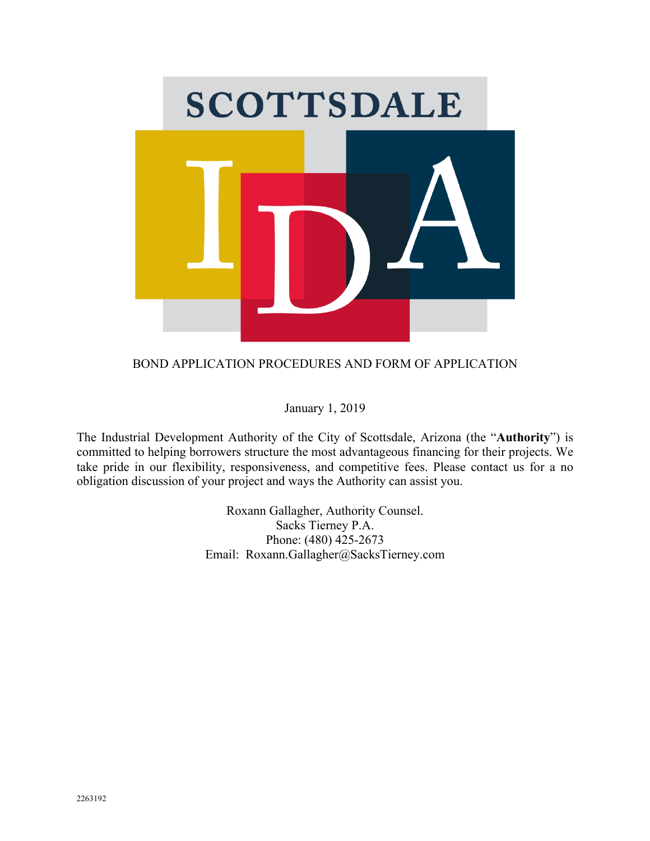

# BOND APPLICATION PROCEDURES AND FORM OF APPLICATION

January 1, 2019

The Industrial Development Authority of the City of Scottsdale, Arizona (the "**Authority**") is committed to helping borrowers structure the most advantageous financing for their projects. We take pride in our flexibility, responsiveness, and competitive fees. Please contact us for a no obligation discussion of your project and ways the Authority can assist you.

> Roxann Gallagher, Authority Counsel. Sacks Tierney P.A. Phone: (480) 425-2673 Email: Roxann.Gallagher@SacksTierney.com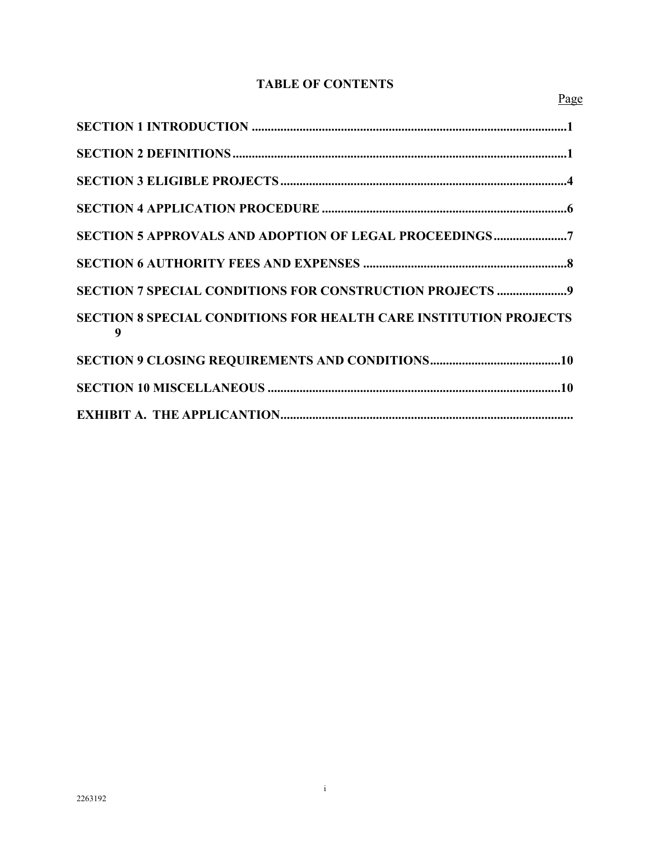# **TABLE OF CONTENTS**

| SECTION 7 SPECIAL CONDITIONS FOR CONSTRUCTION PROJECTS 9                      |
|-------------------------------------------------------------------------------|
| <b>SECTION 8 SPECIAL CONDITIONS FOR HEALTH CARE INSTITUTION PROJECTS</b><br>9 |
|                                                                               |
|                                                                               |
|                                                                               |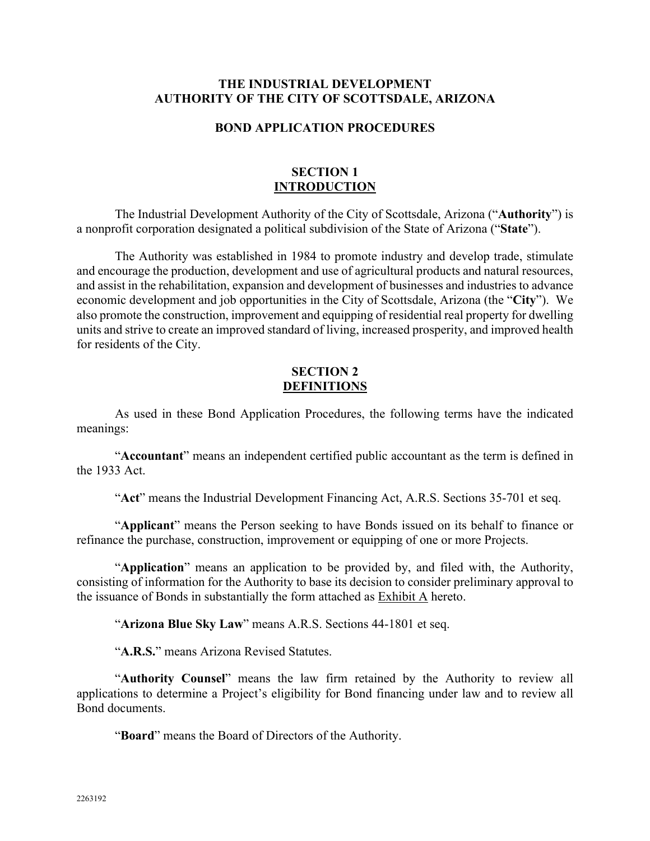#### **THE INDUSTRIAL DEVELOPMENT AUTHORITY OF THE CITY OF SCOTTSDALE, ARIZONA**

#### **BOND APPLICATION PROCEDURES**

#### **SECTION 1 INTRODUCTION**

The Industrial Development Authority of the City of Scottsdale, Arizona ("**Authority**") is a nonprofit corporation designated a political subdivision of the State of Arizona ("**State**").

The Authority was established in 1984 to promote industry and develop trade, stimulate and encourage the production, development and use of agricultural products and natural resources, and assist in the rehabilitation, expansion and development of businesses and industries to advance economic development and job opportunities in the City of Scottsdale, Arizona (the "**City**"). We also promote the construction, improvement and equipping of residential real property for dwelling units and strive to create an improved standard of living, increased prosperity, and improved health for residents of the City.

#### **SECTION 2 DEFINITIONS**

As used in these Bond Application Procedures, the following terms have the indicated meanings:

"**Accountant**" means an independent certified public accountant as the term is defined in the 1933 Act.

"**Act**" means the Industrial Development Financing Act, A.R.S. Sections 35-701 et seq.

"**Applicant**" means the Person seeking to have Bonds issued on its behalf to finance or refinance the purchase, construction, improvement or equipping of one or more Projects.

"**Application**" means an application to be provided by, and filed with, the Authority, consisting of information for the Authority to base its decision to consider preliminary approval to the issuance of Bonds in substantially the form attached as Exhibit A hereto.

"**Arizona Blue Sky Law**" means A.R.S. Sections 44-1801 et seq.

"**A.R.S.**" means Arizona Revised Statutes.

"**Authority Counsel**" means the law firm retained by the Authority to review all applications to determine a Project's eligibility for Bond financing under law and to review all Bond documents.

"**Board**" means the Board of Directors of the Authority.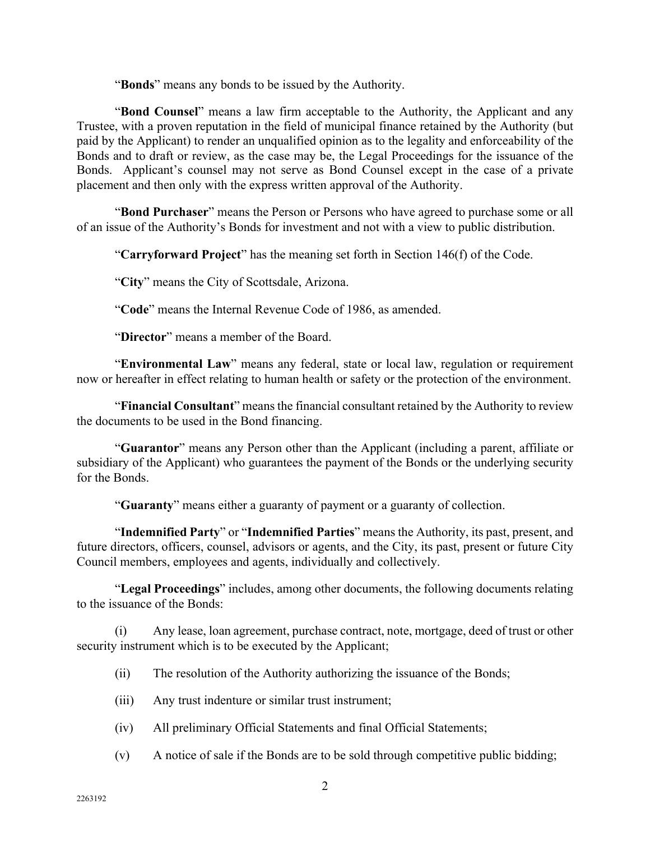"**Bonds**" means any bonds to be issued by the Authority.

"**Bond Counsel**" means a law firm acceptable to the Authority, the Applicant and any Trustee, with a proven reputation in the field of municipal finance retained by the Authority (but paid by the Applicant) to render an unqualified opinion as to the legality and enforceability of the Bonds and to draft or review, as the case may be, the Legal Proceedings for the issuance of the Bonds. Applicant's counsel may not serve as Bond Counsel except in the case of a private placement and then only with the express written approval of the Authority.

"**Bond Purchaser**" means the Person or Persons who have agreed to purchase some or all of an issue of the Authority's Bonds for investment and not with a view to public distribution.

"**Carryforward Project**" has the meaning set forth in Section 146(f) of the Code.

"**City**" means the City of Scottsdale, Arizona.

"**Code**" means the Internal Revenue Code of 1986, as amended.

"**Director**" means a member of the Board.

"**Environmental Law**" means any federal, state or local law, regulation or requirement now or hereafter in effect relating to human health or safety or the protection of the environment.

"**Financial Consultant**" means the financial consultant retained by the Authority to review the documents to be used in the Bond financing.

"**Guarantor**" means any Person other than the Applicant (including a parent, affiliate or subsidiary of the Applicant) who guarantees the payment of the Bonds or the underlying security for the Bonds.

"**Guaranty**" means either a guaranty of payment or a guaranty of collection.

"**Indemnified Party**" or "**Indemnified Parties**" means the Authority, its past, present, and future directors, officers, counsel, advisors or agents, and the City, its past, present or future City Council members, employees and agents, individually and collectively.

"**Legal Proceedings**" includes, among other documents, the following documents relating to the issuance of the Bonds:

(i) Any lease, loan agreement, purchase contract, note, mortgage, deed of trust or other security instrument which is to be executed by the Applicant;

- (ii) The resolution of the Authority authorizing the issuance of the Bonds;
- (iii) Any trust indenture or similar trust instrument;
- (iv) All preliminary Official Statements and final Official Statements;
- (v) A notice of sale if the Bonds are to be sold through competitive public bidding;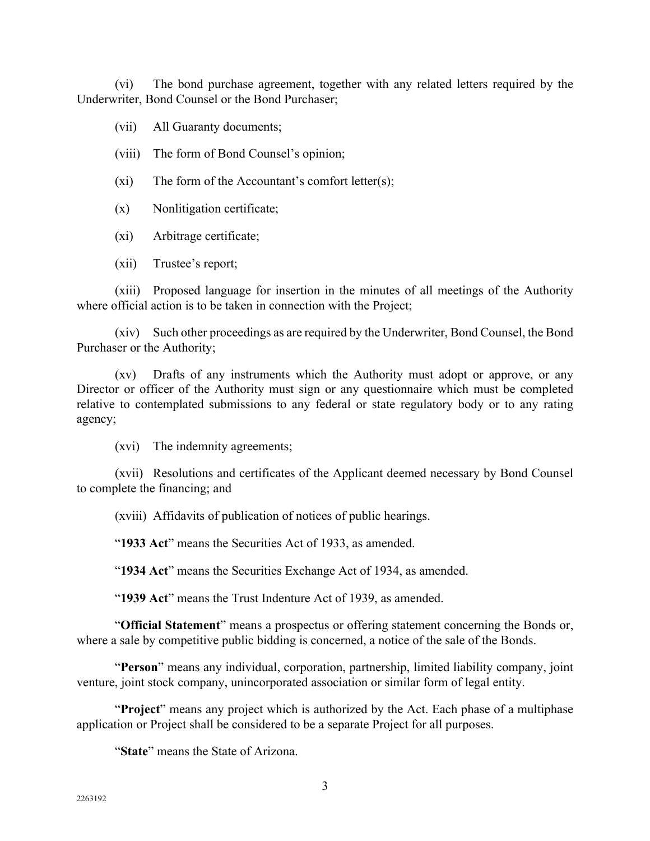(vi) The bond purchase agreement, together with any related letters required by the Underwriter, Bond Counsel or the Bond Purchaser;

(vii) All Guaranty documents;

- (viii) The form of Bond Counsel's opinion;
- $(x_i)$  The form of the Accountant's comfort letter $(s)$ ;
- (x) Nonlitigation certificate;
- (xi) Arbitrage certificate;
- (xii) Trustee's report;

(xiii) Proposed language for insertion in the minutes of all meetings of the Authority where official action is to be taken in connection with the Project;

(xiv) Such other proceedings as are required by the Underwriter, Bond Counsel, the Bond Purchaser or the Authority;

(xv) Drafts of any instruments which the Authority must adopt or approve, or any Director or officer of the Authority must sign or any questionnaire which must be completed relative to contemplated submissions to any federal or state regulatory body or to any rating agency;

(xvi) The indemnity agreements;

(xvii) Resolutions and certificates of the Applicant deemed necessary by Bond Counsel to complete the financing; and

(xviii) Affidavits of publication of notices of public hearings.

"**1933 Act**" means the Securities Act of 1933, as amended.

"**1934 Act**" means the Securities Exchange Act of 1934, as amended.

"**1939 Act**" means the Trust Indenture Act of 1939, as amended.

"**Official Statement**" means a prospectus or offering statement concerning the Bonds or, where a sale by competitive public bidding is concerned, a notice of the sale of the Bonds.

"**Person**" means any individual, corporation, partnership, limited liability company, joint venture, joint stock company, unincorporated association or similar form of legal entity.

"**Project**" means any project which is authorized by the Act. Each phase of a multiphase application or Project shall be considered to be a separate Project for all purposes.

"**State**" means the State of Arizona.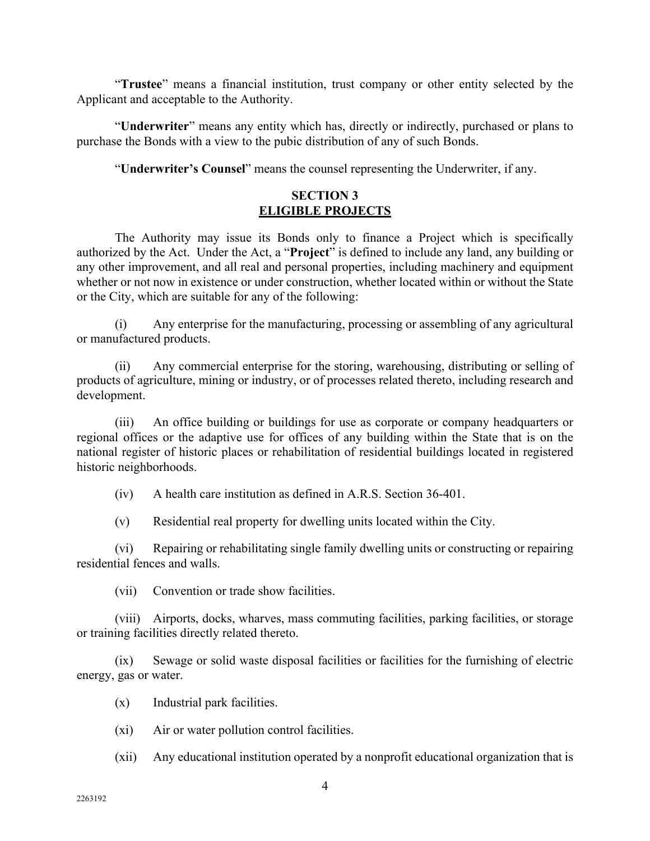"**Trustee**" means a financial institution, trust company or other entity selected by the Applicant and acceptable to the Authority.

"**Underwriter**" means any entity which has, directly or indirectly, purchased or plans to purchase the Bonds with a view to the pubic distribution of any of such Bonds.

"**Underwriter's Counsel**" means the counsel representing the Underwriter, if any.

# **SECTION 3 ELIGIBLE PROJECTS**

The Authority may issue its Bonds only to finance a Project which is specifically authorized by the Act. Under the Act, a "**Project**" is defined to include any land, any building or any other improvement, and all real and personal properties, including machinery and equipment whether or not now in existence or under construction, whether located within or without the State or the City, which are suitable for any of the following:

(i) Any enterprise for the manufacturing, processing or assembling of any agricultural or manufactured products.

(ii) Any commercial enterprise for the storing, warehousing, distributing or selling of products of agriculture, mining or industry, or of processes related thereto, including research and development.

(iii) An office building or buildings for use as corporate or company headquarters or regional offices or the adaptive use for offices of any building within the State that is on the national register of historic places or rehabilitation of residential buildings located in registered historic neighborhoods.

(iv) A health care institution as defined in A.R.S. Section 36-401.

(v) Residential real property for dwelling units located within the City.

(vi) Repairing or rehabilitating single family dwelling units or constructing or repairing residential fences and walls.

(vii) Convention or trade show facilities.

(viii) Airports, docks, wharves, mass commuting facilities, parking facilities, or storage or training facilities directly related thereto.

(ix) Sewage or solid waste disposal facilities or facilities for the furnishing of electric energy, gas or water.

(x) Industrial park facilities.

(xi) Air or water pollution control facilities.

(xii) Any educational institution operated by a nonprofit educational organization that is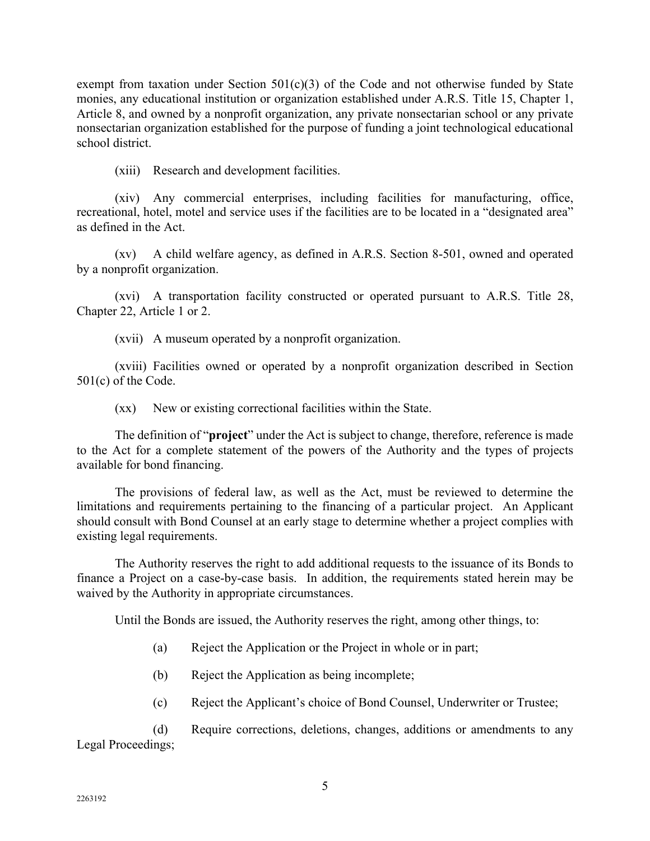exempt from taxation under Section  $501(c)(3)$  of the Code and not otherwise funded by State monies, any educational institution or organization established under A.R.S. Title 15, Chapter 1, Article 8, and owned by a nonprofit organization, any private nonsectarian school or any private nonsectarian organization established for the purpose of funding a joint technological educational school district.

(xiii) Research and development facilities.

(xiv) Any commercial enterprises, including facilities for manufacturing, office, recreational, hotel, motel and service uses if the facilities are to be located in a "designated area" as defined in the Act.

(xv) A child welfare agency, as defined in A.R.S. Section 8-501, owned and operated by a nonprofit organization.

(xvi) A transportation facility constructed or operated pursuant to A.R.S. Title 28, Chapter 22, Article 1 or 2.

(xvii) A museum operated by a nonprofit organization.

(xviii) Facilities owned or operated by a nonprofit organization described in Section 501(c) of the Code.

(xx) New or existing correctional facilities within the State.

The definition of "**project**" under the Act is subject to change, therefore, reference is made to the Act for a complete statement of the powers of the Authority and the types of projects available for bond financing.

The provisions of federal law, as well as the Act, must be reviewed to determine the limitations and requirements pertaining to the financing of a particular project. An Applicant should consult with Bond Counsel at an early stage to determine whether a project complies with existing legal requirements.

The Authority reserves the right to add additional requests to the issuance of its Bonds to finance a Project on a case-by-case basis. In addition, the requirements stated herein may be waived by the Authority in appropriate circumstances.

Until the Bonds are issued, the Authority reserves the right, among other things, to:

- (a) Reject the Application or the Project in whole or in part;
- (b) Reject the Application as being incomplete;
- (c) Reject the Applicant's choice of Bond Counsel, Underwriter or Trustee;

(d) Require corrections, deletions, changes, additions or amendments to any Legal Proceedings;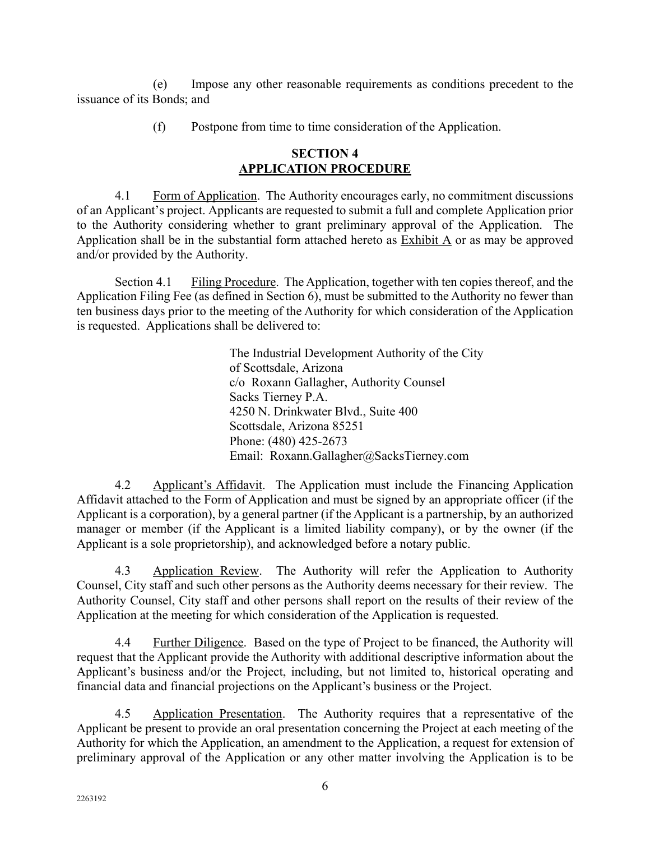(e) Impose any other reasonable requirements as conditions precedent to the issuance of its Bonds; and

(f) Postpone from time to time consideration of the Application.

## **SECTION 4 APPLICATION PROCEDURE**

4.1 Form of Application. The Authority encourages early, no commitment discussions of an Applicant's project. Applicants are requested to submit a full and complete Application prior to the Authority considering whether to grant preliminary approval of the Application. The Application shall be in the substantial form attached hereto as  $\overline{\text{Exhibit A}}$  or as may be approved and/or provided by the Authority.

Section 4.1 Filing Procedure. The Application, together with ten copies thereof, and the Application Filing Fee (as defined in Section 6), must be submitted to the Authority no fewer than ten business days prior to the meeting of the Authority for which consideration of the Application is requested. Applications shall be delivered to:

> The Industrial Development Authority of the City of Scottsdale, Arizona c/o Roxann Gallagher, Authority Counsel Sacks Tierney P.A. 4250 N. Drinkwater Blvd., Suite 400 Scottsdale, Arizona 85251 Phone: (480) 425-2673 Email: Roxann.Gallagher@SacksTierney.com

4.2 Applicant's Affidavit. The Application must include the Financing Application Affidavit attached to the Form of Application and must be signed by an appropriate officer (if the Applicant is a corporation), by a general partner (if the Applicant is a partnership, by an authorized manager or member (if the Applicant is a limited liability company), or by the owner (if the Applicant is a sole proprietorship), and acknowledged before a notary public.

4.3 Application Review. The Authority will refer the Application to Authority Counsel, City staff and such other persons as the Authority deems necessary for their review. The Authority Counsel, City staff and other persons shall report on the results of their review of the Application at the meeting for which consideration of the Application is requested.

4.4 Further Diligence. Based on the type of Project to be financed, the Authority will request that the Applicant provide the Authority with additional descriptive information about the Applicant's business and/or the Project, including, but not limited to, historical operating and financial data and financial projections on the Applicant's business or the Project.

4.5 Application Presentation. The Authority requires that a representative of the Applicant be present to provide an oral presentation concerning the Project at each meeting of the Authority for which the Application, an amendment to the Application, a request for extension of preliminary approval of the Application or any other matter involving the Application is to be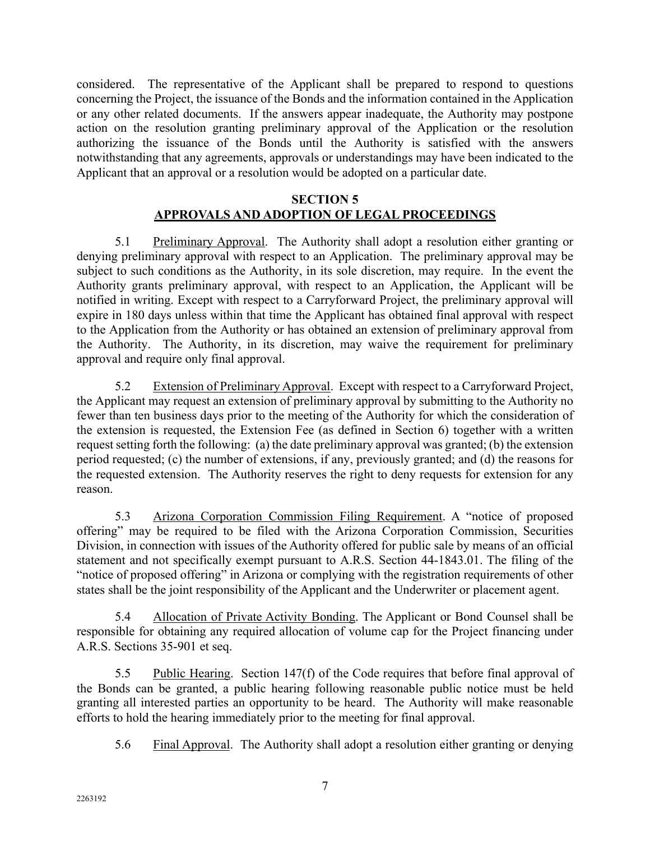considered. The representative of the Applicant shall be prepared to respond to questions concerning the Project, the issuance of the Bonds and the information contained in the Application or any other related documents. If the answers appear inadequate, the Authority may postpone action on the resolution granting preliminary approval of the Application or the resolution authorizing the issuance of the Bonds until the Authority is satisfied with the answers notwithstanding that any agreements, approvals or understandings may have been indicated to the Applicant that an approval or a resolution would be adopted on a particular date.

# **SECTION 5 APPROVALS AND ADOPTION OF LEGAL PROCEEDINGS**

5.1 Preliminary Approval. The Authority shall adopt a resolution either granting or denying preliminary approval with respect to an Application. The preliminary approval may be subject to such conditions as the Authority, in its sole discretion, may require. In the event the Authority grants preliminary approval, with respect to an Application, the Applicant will be notified in writing. Except with respect to a Carryforward Project, the preliminary approval will expire in 180 days unless within that time the Applicant has obtained final approval with respect to the Application from the Authority or has obtained an extension of preliminary approval from the Authority. The Authority, in its discretion, may waive the requirement for preliminary approval and require only final approval.

5.2 Extension of Preliminary Approval. Except with respect to a Carryforward Project, the Applicant may request an extension of preliminary approval by submitting to the Authority no fewer than ten business days prior to the meeting of the Authority for which the consideration of the extension is requested, the Extension Fee (as defined in Section 6) together with a written request setting forth the following: (a) the date preliminary approval was granted; (b) the extension period requested; (c) the number of extensions, if any, previously granted; and (d) the reasons for the requested extension. The Authority reserves the right to deny requests for extension for any reason.

5.3 Arizona Corporation Commission Filing Requirement. A "notice of proposed offering" may be required to be filed with the Arizona Corporation Commission, Securities Division, in connection with issues of the Authority offered for public sale by means of an official statement and not specifically exempt pursuant to A.R.S. Section 44-1843.01. The filing of the "notice of proposed offering" in Arizona or complying with the registration requirements of other states shall be the joint responsibility of the Applicant and the Underwriter or placement agent.

5.4 Allocation of Private Activity Bonding. The Applicant or Bond Counsel shall be responsible for obtaining any required allocation of volume cap for the Project financing under A.R.S. Sections 35-901 et seq.

5.5 Public Hearing. Section 147(f) of the Code requires that before final approval of the Bonds can be granted, a public hearing following reasonable public notice must be held granting all interested parties an opportunity to be heard. The Authority will make reasonable efforts to hold the hearing immediately prior to the meeting for final approval.

5.6 Final Approval. The Authority shall adopt a resolution either granting or denying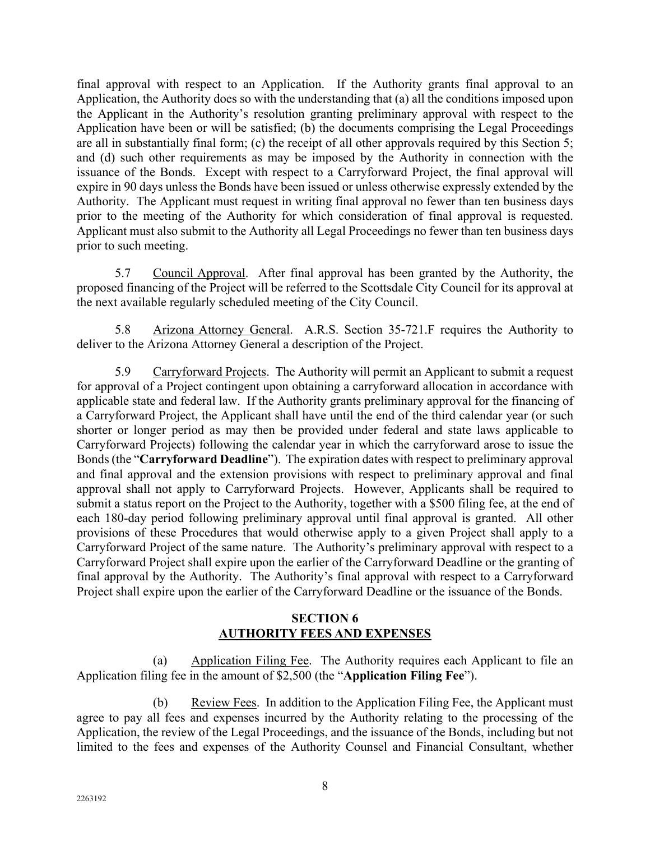final approval with respect to an Application. If the Authority grants final approval to an Application, the Authority does so with the understanding that (a) all the conditions imposed upon the Applicant in the Authority's resolution granting preliminary approval with respect to the Application have been or will be satisfied; (b) the documents comprising the Legal Proceedings are all in substantially final form; (c) the receipt of all other approvals required by this Section 5; and (d) such other requirements as may be imposed by the Authority in connection with the issuance of the Bonds. Except with respect to a Carryforward Project, the final approval will expire in 90 days unless the Bonds have been issued or unless otherwise expressly extended by the Authority. The Applicant must request in writing final approval no fewer than ten business days prior to the meeting of the Authority for which consideration of final approval is requested. Applicant must also submit to the Authority all Legal Proceedings no fewer than ten business days prior to such meeting.

5.7 Council Approval. After final approval has been granted by the Authority, the proposed financing of the Project will be referred to the Scottsdale City Council for its approval at the next available regularly scheduled meeting of the City Council.

5.8 Arizona Attorney General. A.R.S. Section 35-721.F requires the Authority to deliver to the Arizona Attorney General a description of the Project.

5.9 Carryforward Projects. The Authority will permit an Applicant to submit a request for approval of a Project contingent upon obtaining a carryforward allocation in accordance with applicable state and federal law. If the Authority grants preliminary approval for the financing of a Carryforward Project, the Applicant shall have until the end of the third calendar year (or such shorter or longer period as may then be provided under federal and state laws applicable to Carryforward Projects) following the calendar year in which the carryforward arose to issue the Bonds (the "**Carryforward Deadline**"). The expiration dates with respect to preliminary approval and final approval and the extension provisions with respect to preliminary approval and final approval shall not apply to Carryforward Projects. However, Applicants shall be required to submit a status report on the Project to the Authority, together with a \$500 filing fee, at the end of each 180-day period following preliminary approval until final approval is granted. All other provisions of these Procedures that would otherwise apply to a given Project shall apply to a Carryforward Project of the same nature. The Authority's preliminary approval with respect to a Carryforward Project shall expire upon the earlier of the Carryforward Deadline or the granting of final approval by the Authority. The Authority's final approval with respect to a Carryforward Project shall expire upon the earlier of the Carryforward Deadline or the issuance of the Bonds.

# **SECTION 6 AUTHORITY FEES AND EXPENSES**

(a) Application Filing Fee. The Authority requires each Applicant to file an Application filing fee in the amount of \$2,500 (the "**Application Filing Fee**").

(b) Review Fees. In addition to the Application Filing Fee, the Applicant must agree to pay all fees and expenses incurred by the Authority relating to the processing of the Application, the review of the Legal Proceedings, and the issuance of the Bonds, including but not limited to the fees and expenses of the Authority Counsel and Financial Consultant, whether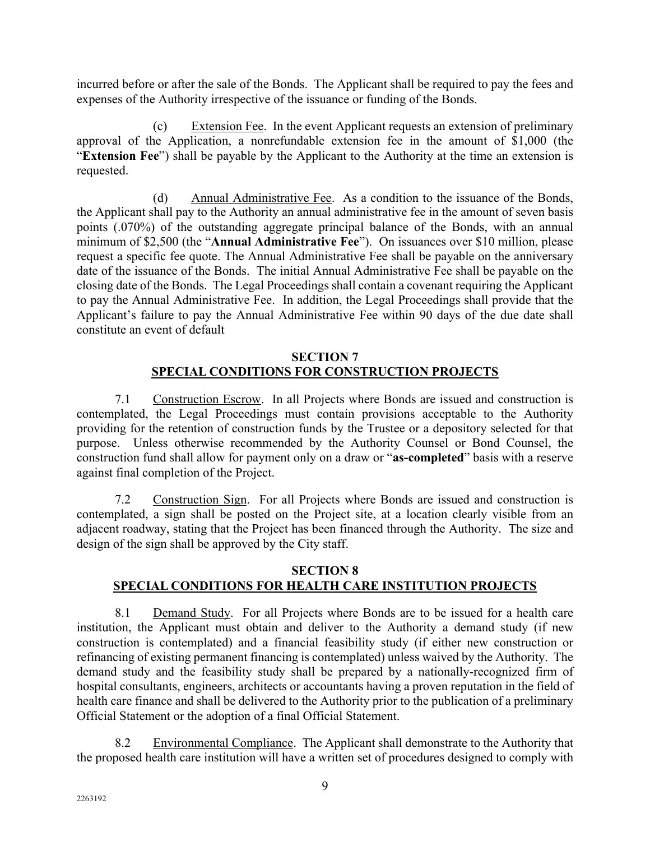incurred before or after the sale of the Bonds. The Applicant shall be required to pay the fees and expenses of the Authority irrespective of the issuance or funding of the Bonds.

(c) Extension Fee. In the event Applicant requests an extension of preliminary approval of the Application, a nonrefundable extension fee in the amount of \$1,000 (the "**Extension Fee**") shall be payable by the Applicant to the Authority at the time an extension is requested.

(d) Annual Administrative Fee. As a condition to the issuance of the Bonds, the Applicant shall pay to the Authority an annual administrative fee in the amount of seven basis points (.070%) of the outstanding aggregate principal balance of the Bonds, with an annual minimum of \$2,500 (the "**Annual Administrative Fee**"). On issuances over \$10 million, please request a specific fee quote. The Annual Administrative Fee shall be payable on the anniversary date of the issuance of the Bonds. The initial Annual Administrative Fee shall be payable on the closing date of the Bonds. The Legal Proceedings shall contain a covenant requiring the Applicant to pay the Annual Administrative Fee. In addition, the Legal Proceedings shall provide that the Applicant's failure to pay the Annual Administrative Fee within 90 days of the due date shall constitute an event of default

# **SECTION 7 SPECIAL CONDITIONS FOR CONSTRUCTION PROJECTS**

7.1 Construction Escrow. In all Projects where Bonds are issued and construction is contemplated, the Legal Proceedings must contain provisions acceptable to the Authority providing for the retention of construction funds by the Trustee or a depository selected for that purpose. Unless otherwise recommended by the Authority Counsel or Bond Counsel, the construction fund shall allow for payment only on a draw or "**as-completed**" basis with a reserve against final completion of the Project.

7.2 Construction Sign. For all Projects where Bonds are issued and construction is contemplated, a sign shall be posted on the Project site, at a location clearly visible from an adjacent roadway, stating that the Project has been financed through the Authority. The size and design of the sign shall be approved by the City staff.

# **SECTION 8**

# **SPECIAL CONDITIONS FOR HEALTH CARE INSTITUTION PROJECTS**

8.1 Demand Study. For all Projects where Bonds are to be issued for a health care institution, the Applicant must obtain and deliver to the Authority a demand study (if new construction is contemplated) and a financial feasibility study (if either new construction or refinancing of existing permanent financing is contemplated) unless waived by the Authority. The demand study and the feasibility study shall be prepared by a nationally-recognized firm of hospital consultants, engineers, architects or accountants having a proven reputation in the field of health care finance and shall be delivered to the Authority prior to the publication of a preliminary Official Statement or the adoption of a final Official Statement.

8.2 Environmental Compliance. The Applicant shall demonstrate to the Authority that the proposed health care institution will have a written set of procedures designed to comply with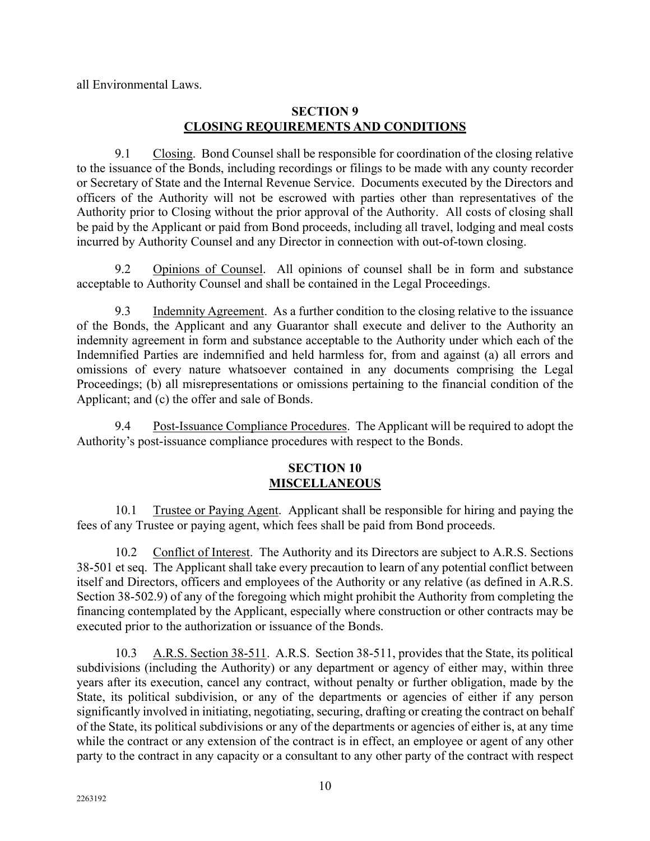all Environmental Laws.

# **SECTION 9 CLOSING REQUIREMENTS AND CONDITIONS**

9.1 Closing. Bond Counsel shall be responsible for coordination of the closing relative to the issuance of the Bonds, including recordings or filings to be made with any county recorder or Secretary of State and the Internal Revenue Service. Documents executed by the Directors and officers of the Authority will not be escrowed with parties other than representatives of the Authority prior to Closing without the prior approval of the Authority. All costs of closing shall be paid by the Applicant or paid from Bond proceeds, including all travel, lodging and meal costs incurred by Authority Counsel and any Director in connection with out-of-town closing.

9.2 Opinions of Counsel. All opinions of counsel shall be in form and substance acceptable to Authority Counsel and shall be contained in the Legal Proceedings.

9.3 Indemnity Agreement. As a further condition to the closing relative to the issuance of the Bonds, the Applicant and any Guarantor shall execute and deliver to the Authority an indemnity agreement in form and substance acceptable to the Authority under which each of the Indemnified Parties are indemnified and held harmless for, from and against (a) all errors and omissions of every nature whatsoever contained in any documents comprising the Legal Proceedings; (b) all misrepresentations or omissions pertaining to the financial condition of the Applicant; and (c) the offer and sale of Bonds.

9.4 Post-Issuance Compliance Procedures. The Applicant will be required to adopt the Authority's post-issuance compliance procedures with respect to the Bonds.

# **SECTION 10 MISCELLANEOUS**

10.1 Trustee or Paying Agent. Applicant shall be responsible for hiring and paying the fees of any Trustee or paying agent, which fees shall be paid from Bond proceeds.

10.2 Conflict of Interest. The Authority and its Directors are subject to A.R.S. Sections 38-501 et seq. The Applicant shall take every precaution to learn of any potential conflict between itself and Directors, officers and employees of the Authority or any relative (as defined in A.R.S. Section 38-502.9) of any of the foregoing which might prohibit the Authority from completing the financing contemplated by the Applicant, especially where construction or other contracts may be executed prior to the authorization or issuance of the Bonds.

10.3 A.R.S. Section 38-511. A.R.S. Section 38-511, provides that the State, its political subdivisions (including the Authority) or any department or agency of either may, within three years after its execution, cancel any contract, without penalty or further obligation, made by the State, its political subdivision, or any of the departments or agencies of either if any person significantly involved in initiating, negotiating, securing, drafting or creating the contract on behalf of the State, its political subdivisions or any of the departments or agencies of either is, at any time while the contract or any extension of the contract is in effect, an employee or agent of any other party to the contract in any capacity or a consultant to any other party of the contract with respect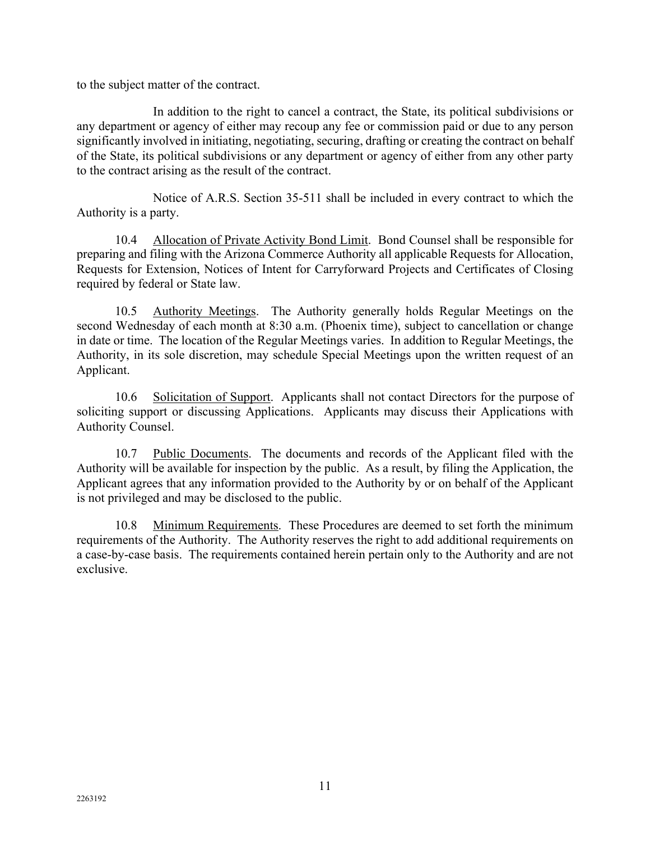to the subject matter of the contract.

In addition to the right to cancel a contract, the State, its political subdivisions or any department or agency of either may recoup any fee or commission paid or due to any person significantly involved in initiating, negotiating, securing, drafting or creating the contract on behalf of the State, its political subdivisions or any department or agency of either from any other party to the contract arising as the result of the contract.

Notice of A.R.S. Section 35-511 shall be included in every contract to which the Authority is a party.

10.4 Allocation of Private Activity Bond Limit. Bond Counsel shall be responsible for preparing and filing with the Arizona Commerce Authority all applicable Requests for Allocation, Requests for Extension, Notices of Intent for Carryforward Projects and Certificates of Closing required by federal or State law.

10.5 Authority Meetings. The Authority generally holds Regular Meetings on the second Wednesday of each month at 8:30 a.m. (Phoenix time), subject to cancellation or change in date or time. The location of the Regular Meetings varies. In addition to Regular Meetings, the Authority, in its sole discretion, may schedule Special Meetings upon the written request of an Applicant.

10.6 Solicitation of Support. Applicants shall not contact Directors for the purpose of soliciting support or discussing Applications. Applicants may discuss their Applications with Authority Counsel.

10.7 Public Documents. The documents and records of the Applicant filed with the Authority will be available for inspection by the public. As a result, by filing the Application, the Applicant agrees that any information provided to the Authority by or on behalf of the Applicant is not privileged and may be disclosed to the public.

10.8 Minimum Requirements. These Procedures are deemed to set forth the minimum requirements of the Authority. The Authority reserves the right to add additional requirements on a case-by-case basis. The requirements contained herein pertain only to the Authority and are not exclusive.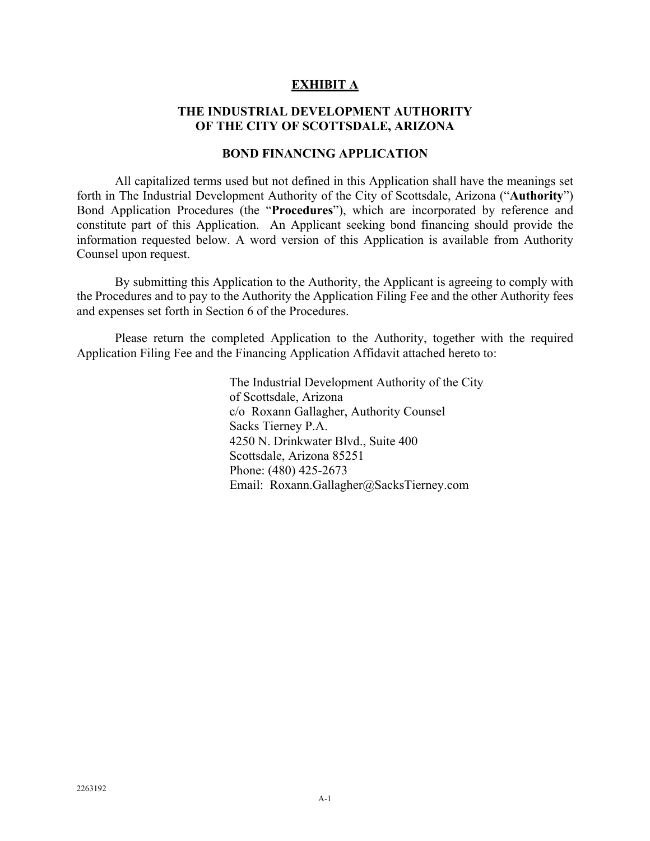#### **EXHIBIT A**

#### **THE INDUSTRIAL DEVELOPMENT AUTHORITY OF THE CITY OF SCOTTSDALE, ARIZONA**

#### **BOND FINANCING APPLICATION**

All capitalized terms used but not defined in this Application shall have the meanings set forth in The Industrial Development Authority of the City of Scottsdale, Arizona ("**Authority**") Bond Application Procedures (the "**Procedures**"), which are incorporated by reference and constitute part of this Application. An Applicant seeking bond financing should provide the information requested below. A word version of this Application is available from Authority Counsel upon request.

By submitting this Application to the Authority, the Applicant is agreeing to comply with the Procedures and to pay to the Authority the Application Filing Fee and the other Authority fees and expenses set forth in Section 6 of the Procedures.

Please return the completed Application to the Authority, together with the required Application Filing Fee and the Financing Application Affidavit attached hereto to:

> The Industrial Development Authority of the City of Scottsdale, Arizona c/o Roxann Gallagher, Authority Counsel Sacks Tierney P.A. 4250 N. Drinkwater Blvd., Suite 400 Scottsdale, Arizona 85251 Phone: (480) 425-2673 Email: Roxann.Gallagher@SacksTierney.com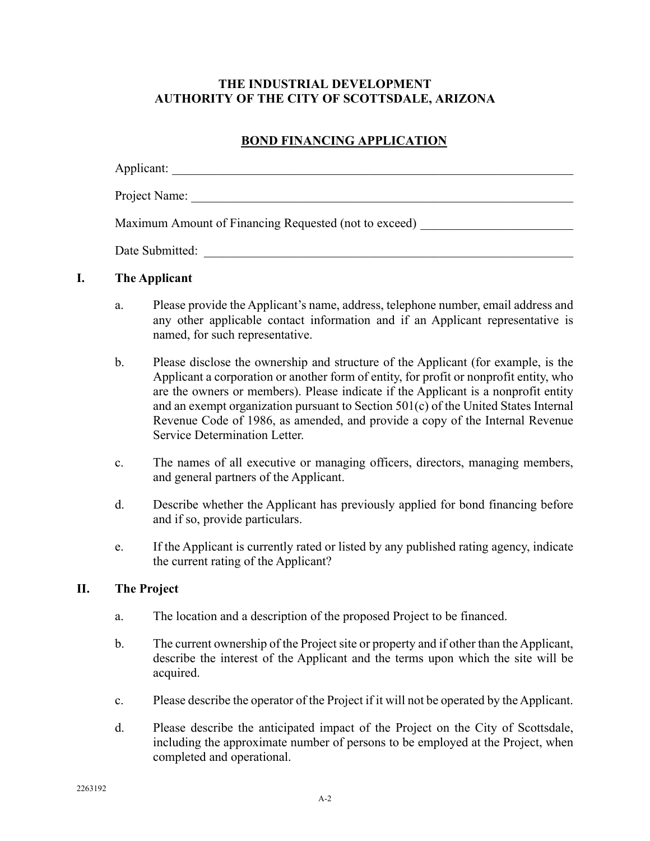## **THE INDUSTRIAL DEVELOPMENT AUTHORITY OF THE CITY OF SCOTTSDALE, ARIZONA**

# **BOND FINANCING APPLICATION**

| Applicant:                                            |
|-------------------------------------------------------|
| Project Name:                                         |
| Maximum Amount of Financing Requested (not to exceed) |
| Date Submitted:                                       |

## **I. The Applicant**

- a. Please provide the Applicant's name, address, telephone number, email address and any other applicable contact information and if an Applicant representative is named, for such representative.
- b. Please disclose the ownership and structure of the Applicant (for example, is the Applicant a corporation or another form of entity, for profit or nonprofit entity, who are the owners or members). Please indicate if the Applicant is a nonprofit entity and an exempt organization pursuant to Section 501(c) of the United States Internal Revenue Code of 1986, as amended, and provide a copy of the Internal Revenue Service Determination Letter.
- c. The names of all executive or managing officers, directors, managing members, and general partners of the Applicant.
- d. Describe whether the Applicant has previously applied for bond financing before and if so, provide particulars.
- e. If the Applicant is currently rated or listed by any published rating agency, indicate the current rating of the Applicant?

#### **II. The Project**

- a. The location and a description of the proposed Project to be financed.
- b. The current ownership of the Project site or property and if other than the Applicant, describe the interest of the Applicant and the terms upon which the site will be acquired.
- c. Please describe the operator of the Project if it will not be operated by the Applicant.
- d. Please describe the anticipated impact of the Project on the City of Scottsdale, including the approximate number of persons to be employed at the Project, when completed and operational.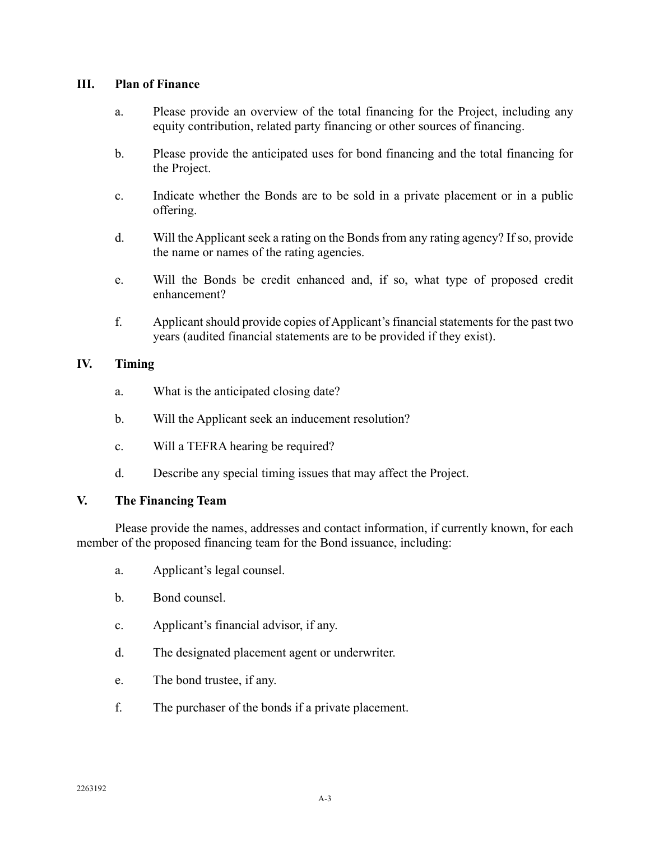#### **III. Plan of Finance**

- a. Please provide an overview of the total financing for the Project, including any equity contribution, related party financing or other sources of financing.
- b. Please provide the anticipated uses for bond financing and the total financing for the Project.
- c. Indicate whether the Bonds are to be sold in a private placement or in a public offering.
- d. Will the Applicant seek a rating on the Bonds from any rating agency? If so, provide the name or names of the rating agencies.
- e. Will the Bonds be credit enhanced and, if so, what type of proposed credit enhancement?
- f. Applicant should provide copies of Applicant's financial statements for the past two years (audited financial statements are to be provided if they exist).

#### **IV. Timing**

- a. What is the anticipated closing date?
- b. Will the Applicant seek an inducement resolution?
- c. Will a TEFRA hearing be required?
- d. Describe any special timing issues that may affect the Project.

#### **V. The Financing Team**

Please provide the names, addresses and contact information, if currently known, for each member of the proposed financing team for the Bond issuance, including:

- a. Applicant's legal counsel.
- b. Bond counsel.
- c. Applicant's financial advisor, if any.
- d. The designated placement agent or underwriter.
- e. The bond trustee, if any.
- f. The purchaser of the bonds if a private placement.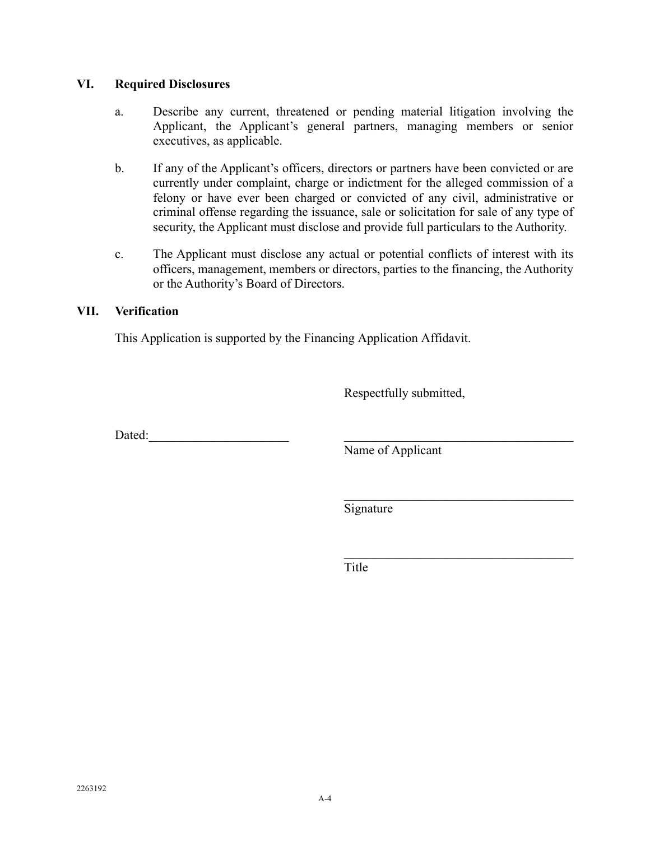#### **VI. Required Disclosures**

- a. Describe any current, threatened or pending material litigation involving the Applicant, the Applicant's general partners, managing members or senior executives, as applicable.
- b. If any of the Applicant's officers, directors or partners have been convicted or are currently under complaint, charge or indictment for the alleged commission of a felony or have ever been charged or convicted of any civil, administrative or criminal offense regarding the issuance, sale or solicitation for sale of any type of security, the Applicant must disclose and provide full particulars to the Authority.
- c. The Applicant must disclose any actual or potential conflicts of interest with its officers, management, members or directors, parties to the financing, the Authority or the Authority's Board of Directors.

#### **VII. Verification**

This Application is supported by the Financing Application Affidavit.

Respectfully submitted,

 $Data:$ 

Name of Applicant

Signature

Title